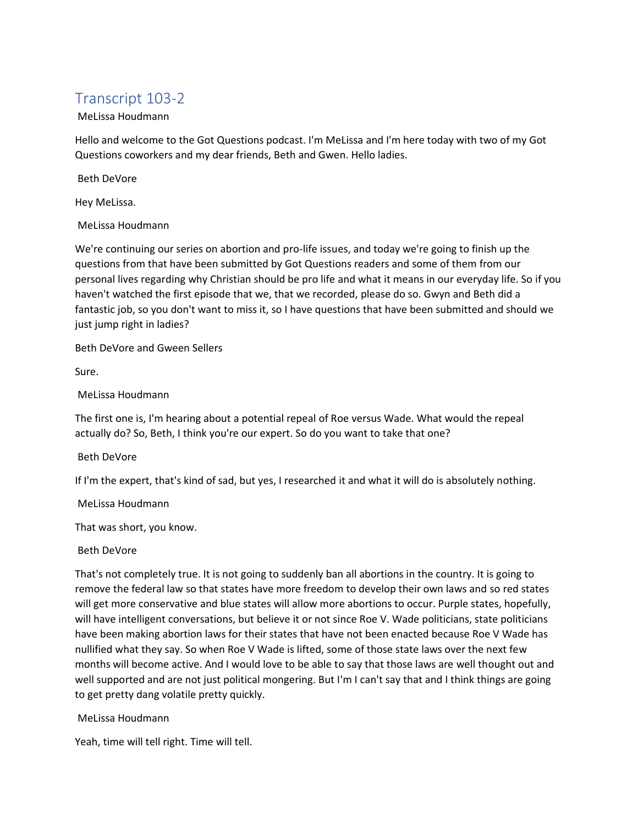# Transcript 103-2

# MeLissa Houdmann

Hello and welcome to the Got Questions podcast. I'm MeLissa and I'm here today with two of my Got Questions coworkers and my dear friends, Beth and Gwen. Hello ladies.

Beth DeVore

Hey MeLissa.

# MeLissa Houdmann

We're continuing our series on abortion and pro-life issues, and today we're going to finish up the questions from that have been submitted by Got Questions readers and some of them from our personal lives regarding why Christian should be pro life and what it means in our everyday life. So if you haven't watched the first episode that we, that we recorded, please do so. Gwyn and Beth did a fantastic job, so you don't want to miss it, so I have questions that have been submitted and should we just jump right in ladies?

Beth DeVore and Gween Sellers

Sure.

MeLissa Houdmann

The first one is, I'm hearing about a potential repeal of Roe versus Wade. What would the repeal actually do? So, Beth, I think you're our expert. So do you want to take that one?

# Beth DeVore

If I'm the expert, that's kind of sad, but yes, I researched it and what it will do is absolutely nothing.

# MeLissa Houdmann

That was short, you know.

# Beth DeVore

That's not completely true. It is not going to suddenly ban all abortions in the country. It is going to remove the federal law so that states have more freedom to develop their own laws and so red states will get more conservative and blue states will allow more abortions to occur. Purple states, hopefully, will have intelligent conversations, but believe it or not since Roe V. Wade politicians, state politicians have been making abortion laws for their states that have not been enacted because Roe V Wade has nullified what they say. So when Roe V Wade is lifted, some of those state laws over the next few months will become active. And I would love to be able to say that those laws are well thought out and well supported and are not just political mongering. But I'm I can't say that and I think things are going to get pretty dang volatile pretty quickly.

# MeLissa Houdmann

Yeah, time will tell right. Time will tell.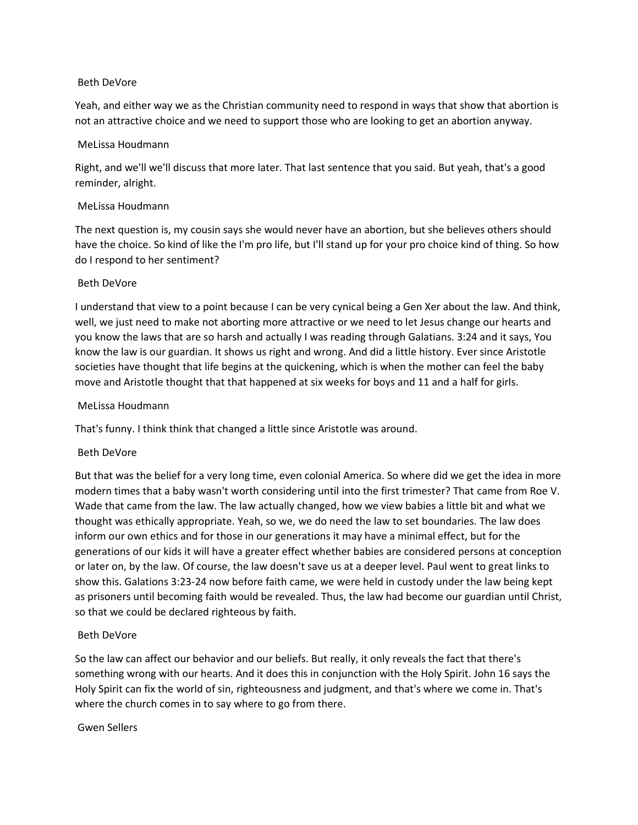#### Beth DeVore

Yeah, and either way we as the Christian community need to respond in ways that show that abortion is not an attractive choice and we need to support those who are looking to get an abortion anyway.

## MeLissa Houdmann

Right, and we'll we'll discuss that more later. That last sentence that you said. But yeah, that's a good reminder, alright.

# MeLissa Houdmann

The next question is, my cousin says she would never have an abortion, but she believes others should have the choice. So kind of like the I'm pro life, but I'll stand up for your pro choice kind of thing. So how do I respond to her sentiment?

# Beth DeVore

I understand that view to a point because I can be very cynical being a Gen Xer about the law. And think, well, we just need to make not aborting more attractive or we need to let Jesus change our hearts and you know the laws that are so harsh and actually I was reading through Galatians. 3:24 and it says, You know the law is our guardian. It shows us right and wrong. And did a little history. Ever since Aristotle societies have thought that life begins at the quickening, which is when the mother can feel the baby move and Aristotle thought that that happened at six weeks for boys and 11 and a half for girls.

#### MeLissa Houdmann

That's funny. I think think that changed a little since Aristotle was around.

# Beth DeVore

But that was the belief for a very long time, even colonial America. So where did we get the idea in more modern times that a baby wasn't worth considering until into the first trimester? That came from Roe V. Wade that came from the law. The law actually changed, how we view babies a little bit and what we thought was ethically appropriate. Yeah, so we, we do need the law to set boundaries. The law does inform our own ethics and for those in our generations it may have a minimal effect, but for the generations of our kids it will have a greater effect whether babies are considered persons at conception or later on, by the law. Of course, the law doesn't save us at a deeper level. Paul went to great links to show this. Galations 3:23-24 now before faith came, we were held in custody under the law being kept as prisoners until becoming faith would be revealed. Thus, the law had become our guardian until Christ, so that we could be declared righteous by faith.

# Beth DeVore

So the law can affect our behavior and our beliefs. But really, it only reveals the fact that there's something wrong with our hearts. And it does this in conjunction with the Holy Spirit. John 16 says the Holy Spirit can fix the world of sin, righteousness and judgment, and that's where we come in. That's where the church comes in to say where to go from there.

#### Gwen Sellers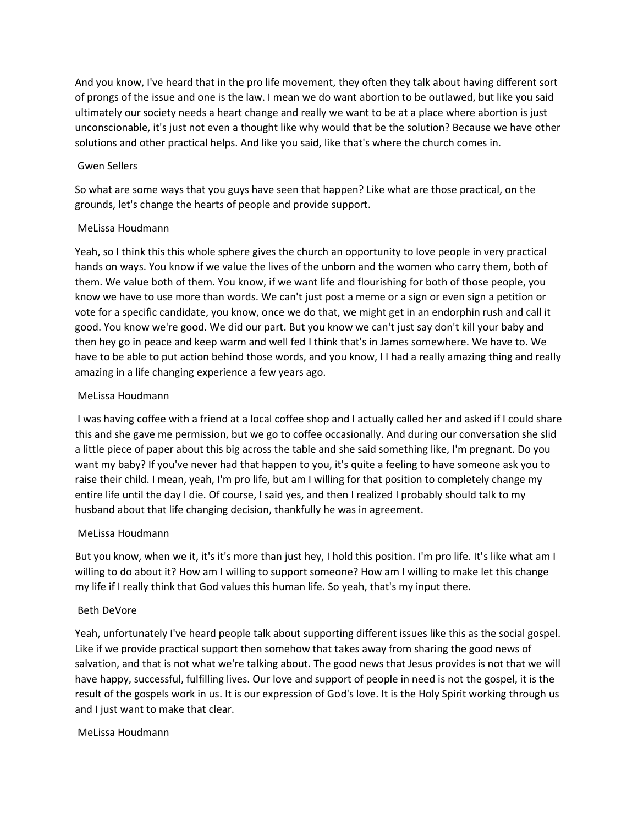And you know, I've heard that in the pro life movement, they often they talk about having different sort of prongs of the issue and one is the law. I mean we do want abortion to be outlawed, but like you said ultimately our society needs a heart change and really we want to be at a place where abortion is just unconscionable, it's just not even a thought like why would that be the solution? Because we have other solutions and other practical helps. And like you said, like that's where the church comes in.

# Gwen Sellers

So what are some ways that you guys have seen that happen? Like what are those practical, on the grounds, let's change the hearts of people and provide support.

# MeLissa Houdmann

Yeah, so I think this this whole sphere gives the church an opportunity to love people in very practical hands on ways. You know if we value the lives of the unborn and the women who carry them, both of them. We value both of them. You know, if we want life and flourishing for both of those people, you know we have to use more than words. We can't just post a meme or a sign or even sign a petition or vote for a specific candidate, you know, once we do that, we might get in an endorphin rush and call it good. You know we're good. We did our part. But you know we can't just say don't kill your baby and then hey go in peace and keep warm and well fed I think that's in James somewhere. We have to. We have to be able to put action behind those words, and you know, I I had a really amazing thing and really amazing in a life changing experience a few years ago.

# MeLissa Houdmann

I was having coffee with a friend at a local coffee shop and I actually called her and asked if I could share this and she gave me permission, but we go to coffee occasionally. And during our conversation she slid a little piece of paper about this big across the table and she said something like, I'm pregnant. Do you want my baby? If you've never had that happen to you, it's quite a feeling to have someone ask you to raise their child. I mean, yeah, I'm pro life, but am I willing for that position to completely change my entire life until the day I die. Of course, I said yes, and then I realized I probably should talk to my husband about that life changing decision, thankfully he was in agreement.

# MeLissa Houdmann

But you know, when we it, it's it's more than just hey, I hold this position. I'm pro life. It's like what am I willing to do about it? How am I willing to support someone? How am I willing to make let this change my life if I really think that God values this human life. So yeah, that's my input there.

# Beth DeVore

Yeah, unfortunately I've heard people talk about supporting different issues like this as the social gospel. Like if we provide practical support then somehow that takes away from sharing the good news of salvation, and that is not what we're talking about. The good news that Jesus provides is not that we will have happy, successful, fulfilling lives. Our love and support of people in need is not the gospel, it is the result of the gospels work in us. It is our expression of God's love. It is the Holy Spirit working through us and I just want to make that clear.

# MeLissa Houdmann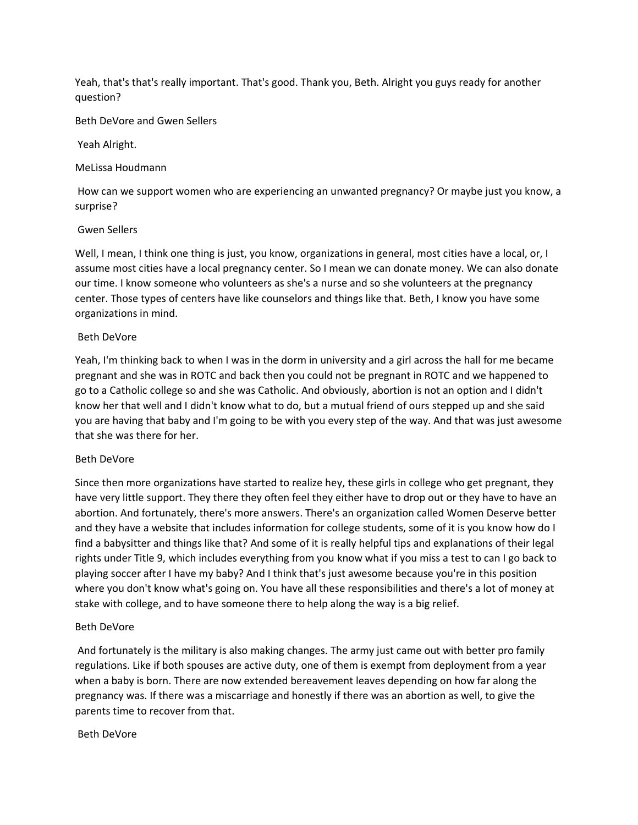Yeah, that's that's really important. That's good. Thank you, Beth. Alright you guys ready for another question?

Beth DeVore and Gwen Sellers

Yeah Alright.

MeLissa Houdmann

How can we support women who are experiencing an unwanted pregnancy? Or maybe just you know, a surprise?

#### Gwen Sellers

Well, I mean, I think one thing is just, you know, organizations in general, most cities have a local, or, I assume most cities have a local pregnancy center. So I mean we can donate money. We can also donate our time. I know someone who volunteers as she's a nurse and so she volunteers at the pregnancy center. Those types of centers have like counselors and things like that. Beth, I know you have some organizations in mind.

#### Beth DeVore

Yeah, I'm thinking back to when I was in the dorm in university and a girl across the hall for me became pregnant and she was in ROTC and back then you could not be pregnant in ROTC and we happened to go to a Catholic college so and she was Catholic. And obviously, abortion is not an option and I didn't know her that well and I didn't know what to do, but a mutual friend of ours stepped up and she said you are having that baby and I'm going to be with you every step of the way. And that was just awesome that she was there for her.

#### Beth DeVore

Since then more organizations have started to realize hey, these girls in college who get pregnant, they have very little support. They there they often feel they either have to drop out or they have to have an abortion. And fortunately, there's more answers. There's an organization called Women Deserve better and they have a website that includes information for college students, some of it is you know how do I find a babysitter and things like that? And some of it is really helpful tips and explanations of their legal rights under Title 9, which includes everything from you know what if you miss a test to can I go back to playing soccer after I have my baby? And I think that's just awesome because you're in this position where you don't know what's going on. You have all these responsibilities and there's a lot of money at stake with college, and to have someone there to help along the way is a big relief.

# Beth DeVore

And fortunately is the military is also making changes. The army just came out with better pro family regulations. Like if both spouses are active duty, one of them is exempt from deployment from a year when a baby is born. There are now extended bereavement leaves depending on how far along the pregnancy was. If there was a miscarriage and honestly if there was an abortion as well, to give the parents time to recover from that.

#### Beth DeVore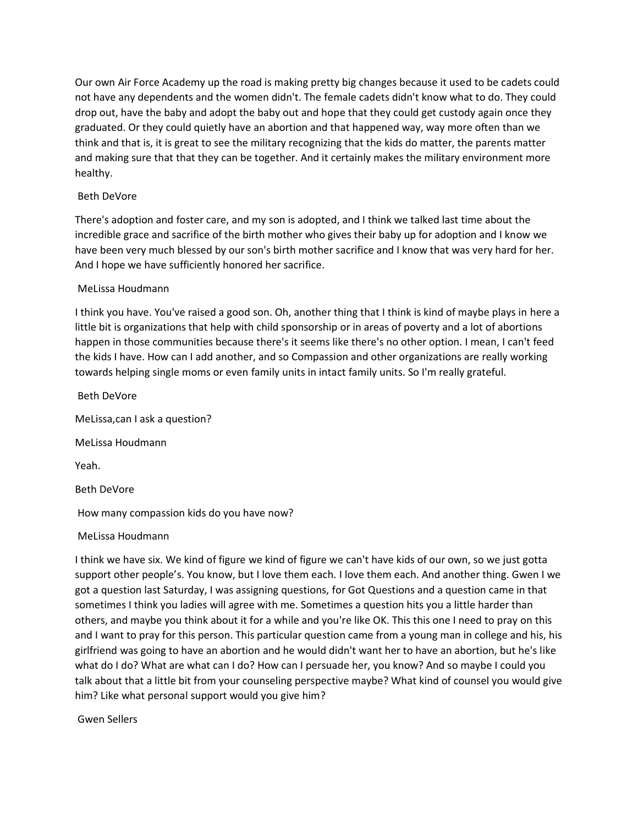Our own Air Force Academy up the road is making pretty big changes because it used to be cadets could not have any dependents and the women didn't. The female cadets didn't know what to do. They could drop out, have the baby and adopt the baby out and hope that they could get custody again once they graduated. Or they could quietly have an abortion and that happened way, way more often than we think and that is, it is great to see the military recognizing that the kids do matter, the parents matter and making sure that that they can be together. And it certainly makes the military environment more healthy.

# Beth DeVore

There's adoption and foster care, and my son is adopted, and I think we talked last time about the incredible grace and sacrifice of the birth mother who gives their baby up for adoption and I know we have been very much blessed by our son's birth mother sacrifice and I know that was very hard for her. And I hope we have sufficiently honored her sacrifice.

#### MeLissa Houdmann

I think you have. You've raised a good son. Oh, another thing that I think is kind of maybe plays in here a little bit is organizations that help with child sponsorship or in areas of poverty and a lot of abortions happen in those communities because there's it seems like there's no other option. I mean, I can't feed the kids I have. How can I add another, and so Compassion and other organizations are really working towards helping single moms or even family units in intact family units. So I'm really grateful.

Beth DeVore

MeLissa,can I ask a question?

MeLissa Houdmann

Yeah.

Beth DeVore

How many compassion kids do you have now?

#### MeLissa Houdmann

I think we have six. We kind of figure we kind of figure we can't have kids of our own, so we just gotta support other people's. You know, but I love them each. I love them each. And another thing. Gwen I we got a question last Saturday, I was assigning questions, for Got Questions and a question came in that sometimes I think you ladies will agree with me. Sometimes a question hits you a little harder than others, and maybe you think about it for a while and you're like OK. This this one I need to pray on this and I want to pray for this person. This particular question came from a young man in college and his, his girlfriend was going to have an abortion and he would didn't want her to have an abortion, but he's like what do I do? What are what can I do? How can I persuade her, you know? And so maybe I could you talk about that a little bit from your counseling perspective maybe? What kind of counsel you would give him? Like what personal support would you give him?

Gwen Sellers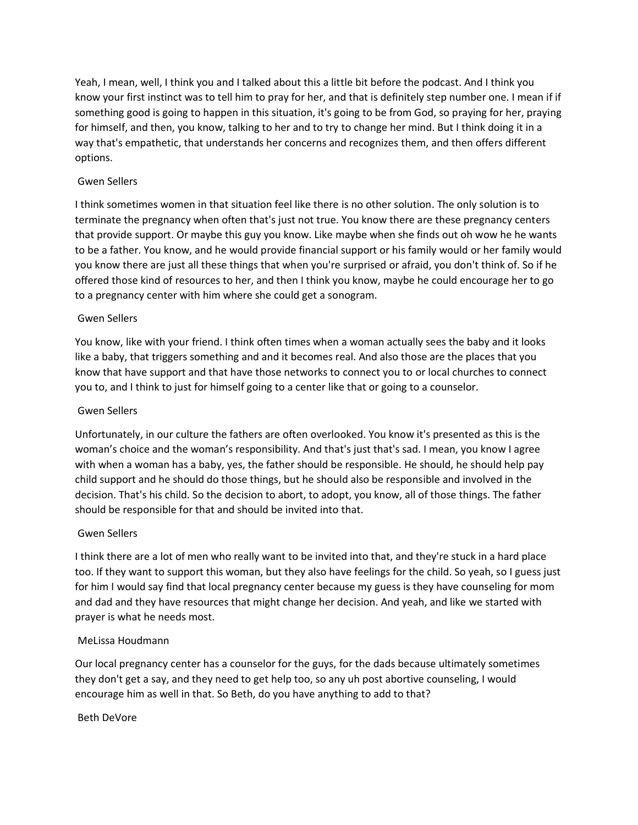Yeah, I mean, well, I think you and I talked about this a little bit before the podcast. And I think you know your first instinct was to tell him to pray for her, and that is definitely step number one. I mean if if something good is going to happen in this situation, it's going to be from God, so praying for her, praying for himself, and then, you know, talking to her and to try to change her mind. But I think doing it in a way that's empathetic, that understands her concerns and recognizes them, and then offers different options.

# Gwen Sellers

I think sometimes women in that situation feel like there is no other solution. The only solution is to terminate the pregnancy when often that's just not true. You know there are these pregnancy centers that provide support. Or maybe this guy you know. Like maybe when she finds out oh wow he he wants to be a father. You know, and he would provide financial support or his family would or her family would you know there are just all these things that when you're surprised or afraid, you don't think of. So if he offered those kind of resources to her, and then I think you know, maybe he could encourage her to go to a pregnancy center with him where she could get a sonogram.

# Gwen Sellers

You know, like with your friend. I think often times when a woman actually sees the baby and it looks like a baby, that triggers something and and it becomes real. And also those are the places that you know that have support and that have those networks to connect you to or local churches to connect you to, and I think to just for himself going to a center like that or going to a counselor.

# Gwen Sellers

Unfortunately, in our culture the fathers are often overlooked. You know it's presented as this is the woman's choice and the woman's responsibility. And that's just that's sad. I mean, you know I agree with when a woman has a baby, yes, the father should be responsible. He should, he should help pay child support and he should do those things, but he should also be responsible and involved in the decision. That's his child. So the decision to abort, to adopt, you know, all of those things. The father should be responsible for that and should be invited into that.

# Gwen Sellers

I think there are a lot of men who really want to be invited into that, and they're stuck in a hard place too. If they want to support this woman, but they also have feelings for the child. So yeah, so I guess just for him I would say find that local pregnancy center because my guess is they have counseling for mom and dad and they have resources that might change her decision. And yeah, and like we started with prayer is what he needs most.

# MeLissa Houdmann

Our local pregnancy center has a counselor for the guys, for the dads because ultimately sometimes they don't get a say, and they need to get help too, so any uh post abortive counseling, I would encourage him as well in that. So Beth, do you have anything to add to that?

# Beth DeVore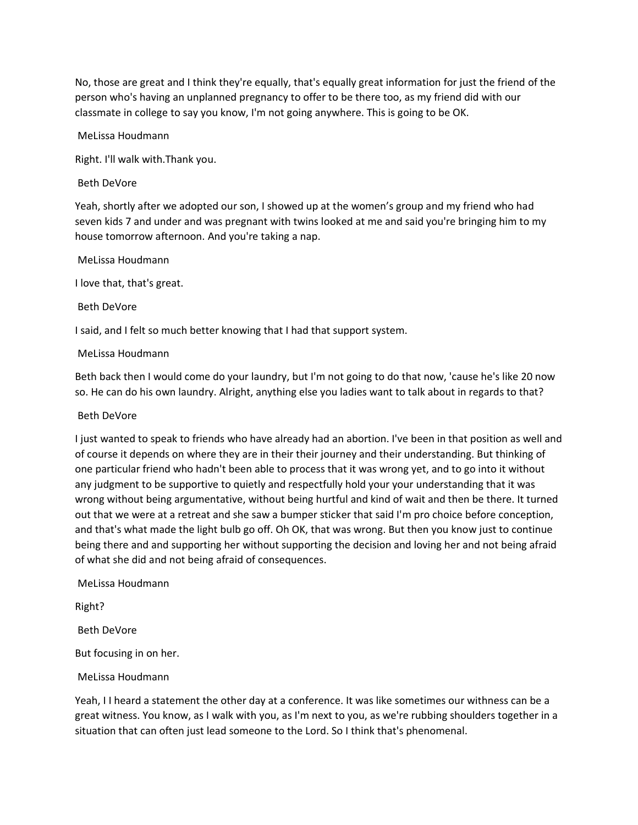No, those are great and I think they're equally, that's equally great information for just the friend of the person who's having an unplanned pregnancy to offer to be there too, as my friend did with our classmate in college to say you know, I'm not going anywhere. This is going to be OK.

MeLissa Houdmann

Right. I'll walk with.Thank you.

## Beth DeVore

Yeah, shortly after we adopted our son, I showed up at the women's group and my friend who had seven kids 7 and under and was pregnant with twins looked at me and said you're bringing him to my house tomorrow afternoon. And you're taking a nap.

MeLissa Houdmann

I love that, that's great.

Beth DeVore

I said, and I felt so much better knowing that I had that support system.

#### MeLissa Houdmann

Beth back then I would come do your laundry, but I'm not going to do that now, 'cause he's like 20 now so. He can do his own laundry. Alright, anything else you ladies want to talk about in regards to that?

## Beth DeVore

I just wanted to speak to friends who have already had an abortion. I've been in that position as well and of course it depends on where they are in their their journey and their understanding. But thinking of one particular friend who hadn't been able to process that it was wrong yet, and to go into it without any judgment to be supportive to quietly and respectfully hold your your understanding that it was wrong without being argumentative, without being hurtful and kind of wait and then be there. It turned out that we were at a retreat and she saw a bumper sticker that said I'm pro choice before conception, and that's what made the light bulb go off. Oh OK, that was wrong. But then you know just to continue being there and and supporting her without supporting the decision and loving her and not being afraid of what she did and not being afraid of consequences.

MeLissa Houdmann

Right?

Beth DeVore

But focusing in on her.

# MeLissa Houdmann

Yeah, I I heard a statement the other day at a conference. It was like sometimes our withness can be a great witness. You know, as I walk with you, as I'm next to you, as we're rubbing shoulders together in a situation that can often just lead someone to the Lord. So I think that's phenomenal.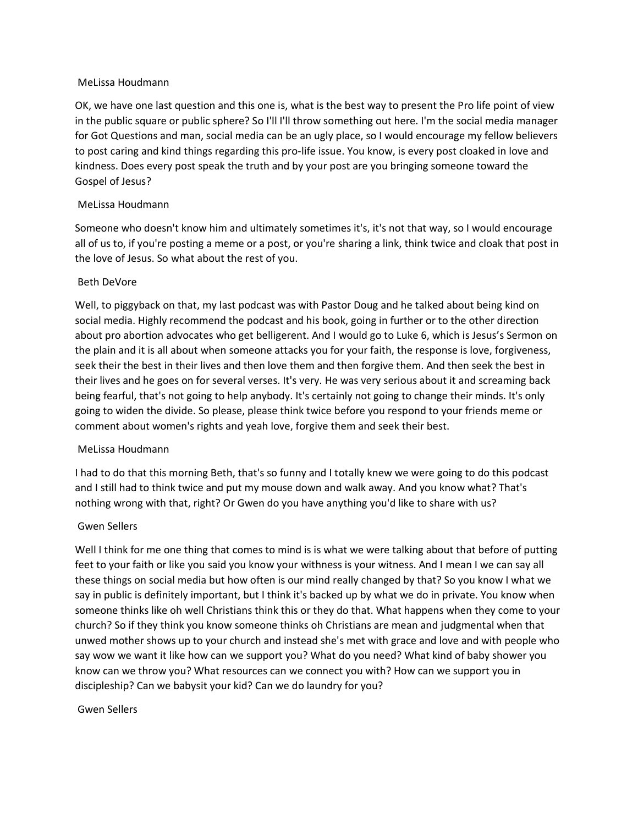#### MeLissa Houdmann

OK, we have one last question and this one is, what is the best way to present the Pro life point of view in the public square or public sphere? So I'll I'll throw something out here. I'm the social media manager for Got Questions and man, social media can be an ugly place, so I would encourage my fellow believers to post caring and kind things regarding this pro-life issue. You know, is every post cloaked in love and kindness. Does every post speak the truth and by your post are you bringing someone toward the Gospel of Jesus?

# MeLissa Houdmann

Someone who doesn't know him and ultimately sometimes it's, it's not that way, so I would encourage all of us to, if you're posting a meme or a post, or you're sharing a link, think twice and cloak that post in the love of Jesus. So what about the rest of you.

# Beth DeVore

Well, to piggyback on that, my last podcast was with Pastor Doug and he talked about being kind on social media. Highly recommend the podcast and his book, going in further or to the other direction about pro abortion advocates who get belligerent. And I would go to Luke 6, which is Jesus's Sermon on the plain and it is all about when someone attacks you for your faith, the response is love, forgiveness, seek their the best in their lives and then love them and then forgive them. And then seek the best in their lives and he goes on for several verses. It's very. He was very serious about it and screaming back being fearful, that's not going to help anybody. It's certainly not going to change their minds. It's only going to widen the divide. So please, please think twice before you respond to your friends meme or comment about women's rights and yeah love, forgive them and seek their best.

# MeLissa Houdmann

I had to do that this morning Beth, that's so funny and I totally knew we were going to do this podcast and I still had to think twice and put my mouse down and walk away. And you know what? That's nothing wrong with that, right? Or Gwen do you have anything you'd like to share with us?

# Gwen Sellers

Well I think for me one thing that comes to mind is is what we were talking about that before of putting feet to your faith or like you said you know your withness is your witness. And I mean I we can say all these things on social media but how often is our mind really changed by that? So you know I what we say in public is definitely important, but I think it's backed up by what we do in private. You know when someone thinks like oh well Christians think this or they do that. What happens when they come to your church? So if they think you know someone thinks oh Christians are mean and judgmental when that unwed mother shows up to your church and instead she's met with grace and love and with people who say wow we want it like how can we support you? What do you need? What kind of baby shower you know can we throw you? What resources can we connect you with? How can we support you in discipleship? Can we babysit your kid? Can we do laundry for you?

# Gwen Sellers